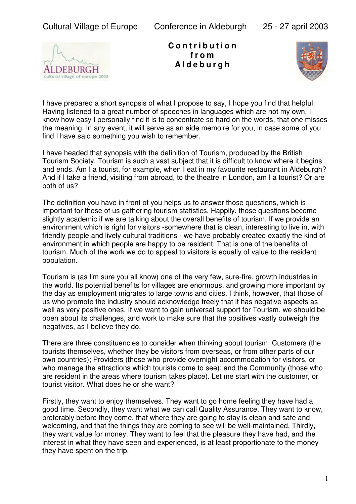

**C o n t r i b u t i o n f r o m A l d e b u r g h**



I have prepared a short synopsis of what I propose to say, I hope you find that helpful. Having listened to a great number of speeches in languages which are not my own, I know how easy I personally find it is to concentrate so hard on the words, that one misses the meaning. In any event, it will serve as an aide memoire for you, in case some of you find I have said something you wish to remember.

I have headed that synopsis with the definition of Tourism, produced by the British Tourism Society. Tourism is such a vast subject that it is difficult to know where it begins and ends. Am I a tourist, for example, when I eat in my favourite restaurant in Aldeburgh? And if I take a friend, visiting from abroad, to the theatre in London, am I a tourist? Or are both of us?

The definition you have in front of you helps us to answer those questions, which is important for those of us gathering tourism statistics. Happily, those questions become slightly academic if we are talking about the overall benefits of tourism. If we provide an environment which is right for visitors -somewhere that is clean, interesting to live in, with friendly people and lively cultural traditions - we have probably created exactly the kind of environment in which people are happy to be resident. That is one of the benefits of tourism. Much of the work we do to appeal to visitors is equally of value to the resident population.

Tourism is (as I'm sure you all know) one of the very few, sure-fire, growth industries in the world. Its potential benefits for villages are enormous, and growing more important by the day as employment migrates to large towns and cities. I think, however, that those of us who promote the industry should acknowledge freely that it has negative aspects as well as very positive ones. If we want to gain universal support for Tourism, we should be open about its challenges, and work to make sure that the positives vastly outweigh the negatives, as I believe they do.

There are three constituencies to consider when thinking about tourism: Customers (the tourists themselves, whether they be visitors from overseas, or from other parts of our own countries); Providers (those who provide overnight accommodation for visitors, or who manage the attractions which tourists come to see); and the Community (those who are resident in the areas where tourism takes place). Let me start with the customer, or tourist visitor. What does he or she want?

Firstly, they want to enjoy themselves. They want to go home feeling they have had a good time. Secondly, they want what we can call Quality Assurance. They want to know, preferably before they come, that where they are going to stay is clean and safe and welcoming, and that the things they are coming to see will be well-maintained. Thirdly, they want value for money. They want to feel that the pleasure they have had, and the interest in what they have seen and experienced, is at least proportionate to the money they have spent on the trip.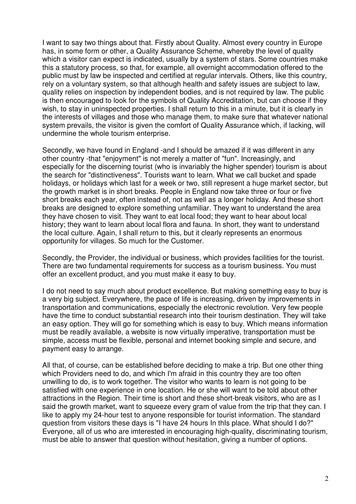I want to say two things about that. Firstly about Quality. Almost every country in Europe has, in some form or other, a Quality Assurance Scheme, whereby the level of quality which a visitor can expect is indicated, usually by a system of stars. Some countries make this a statutory process, so that, for example, all overnight accommodation offered to the public must by law be inspected and certified at regular intervals. Others, like this country, rely on a voluntary system, so that although health and safety issues are subject to law, quality relies on inspection by independent bodies, and is not required by law. The public is then encouraged to look for the symbols of Quality Accreditation, but can choose if they wish, to stay in uninspected properties. I shall return to this in a minute, but it is clearly in the interests of villages and those who manage them, to make sure that whatever national system prevails, the visitor is given the comfort of Quality Assurance which, if lacking, will undermine the whole tourism enterprise.

Secondly, we have found in England -and I should be amazed if it was different in any other country -that "enjoyment" is not merely a matter of "fun". Increasingly, and especially for the discerning tourist (who is invariably the higher spender) tourism is about the search for "distinctiveness". Tourists want to learn. What we call bucket and spade holidays, or holidays which last for a week or two, still represent a huge market sector, but the growth market is in short breaks. People in England now take three or four or five short breaks each year, often instead of, not as well as a longer holiday. And these short breaks are designed to explore something unfamiliar. They want to understand the area they have chosen to visit. They want to eat local food; they want to hear about local history; they want to learn about local flora and fauna. In short, they want to understand the local culture. Again, I shall return to this, but it clearly represents an enormous opportunity for villages. So much for the Customer.

Secondly, the Provider, the individual or business, which provides facilities for the tourist. There are two fundamental requirements for success as a tourism business. You must offer an excellent product, and you must make it easy to buy.

I do not need to say much about product excellence. But making something easy to buy is a very big subject. Everywhere, the pace of life is increasing, driven by improvements in transportation and communications, especially the electronic revolution. Very few people have the time to conduct substantial research into their tourism destination. They will take an easy option. They will go for something which is easy to buy. Which means information must be readily available, a website is now virtually imperative, transportation must be simple, access must be flexible, personal and internet booking simple and secure, and payment easy to arrange.

All that, of course, can be established before deciding to make a trip. But one other thing which Providers need to do, and which I'm afraid in this country they are too often unwilling to do, is to work together. The visitor who wants to learn is not going to be satisfied with one experience in one location. He or she will want to be told about other attractions in the Region. Their time is short and these short-break visitors, who are as I said the growth market, want to squeeze every gram of value from the trip that they can. I like to apply my 24-hour test to anyone responsible for tourist information. The standard question from visitors these days is "I have 24 hours In thIs place. What should I do?" Everyone, all of us who are imterested in encouraging high-quality, discriminating tourism, must be able to answer that question without hesitation, giving a number of options.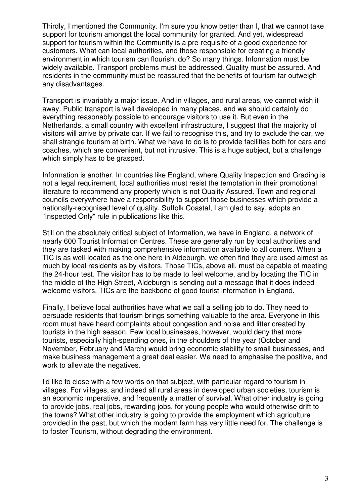Thirdly, I mentioned the Community. I'm sure you know better than I, that we cannot take support for tourism amongst the local community for granted. And yet, widespread support for tourism within the Community is a pre-requisite of a good experience for customers. What can local authorities, and those responsible for creating a friendly environment in which tourism can flourish, do? So many things. Information must be widely available. Transport problems must be addressed. Quality must be assured. And residents in the community must be reassured that the benefits of tourism far outweigh any disadvantages.

Transport is invariably a major issue. And in villages, and rural areas, we cannot wish it away. Public transport is well developed in many places, and we should certainly do everything reasonably possible to encourage visitors to use it. But even in the Netherlands, a small country with excellent infrastructure, I suggest that the majority of visitors will arrive by private car. If we fail to recognise this, and try to exclude the car, we shall strangle tourism at birth. What we have to do is to provide facilities both for cars and coaches, which are convenient, but not intrusive. This is a huge subject, but a challenge which simply has to be grasped.

Information is another. In countries like England, where Quality Inspection and Grading is not a legal requirement, local authorities must resist the temptation in their promotional literature to recommend any property which is not Quality Assured. Town and regional councils everywhere have a responsibility to support those businesses which provide a nationally-recognised level of quality. Suffolk Coastal, I am glad to say, adopts an "Inspected Only" rule in publications like this.

Still on the absolutely critical subject of Information, we have in England, a network of nearly 600 Tourist Information Centres. These are generally run by local authorities and they are tasked with making comprehensive information available to all comers. When a TIC is as well-located as the one here in Aldeburgh, we often find they are used almost as much by local residents as by visitors. Those TICs, above all, must be capable of meeting the 24-hour test. The visitor has to be made to feel welcome, and by locating the TIC in the middle of the High Street, Aldeburgh is sending out a message that it does indeed welcome visitors. TICs are the backbone of good tourist information in England.

Finally, I believe local authorities have what we call a selling job to do. They need to persuade residents that tourism brings something valuable to the area. Everyone in this room must have heard complaints about congestion and noise and litter created by tourists in the high season. Few local businesses, however, would deny that more tourists, especially high-spending ones, in the shoulders of the year (October and November, February and March) would bring economic stability to small businesses, and make business management a great deal easier. We need to emphasise the positive, and work to alleviate the negatives.

I'd like to close with a few words on that subject, with particular regard to tourism in villages. For villages, and indeed all rural areas in developed urban societies, tourism is an economic imperative, and frequently a matter of survival. What other industry is going to provide jobs, real jobs, rewarding jobs, for young people who would otherwise drift to the towns? What other industry is going to provide the employment which agriculture provided in the past, but which the modern farm has very little need for. The challenge is to foster Tourism, without degrading the environment.